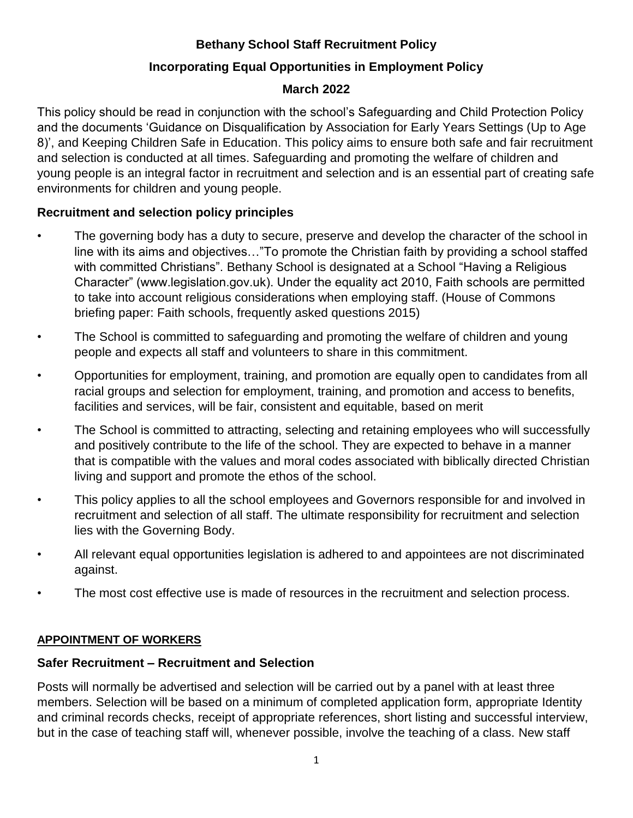# **Bethany School Staff Recruitment Policy**

# **Incorporating Equal Opportunities in Employment Policy**

# **March 2022**

This policy should be read in conjunction with the school's Safeguarding and Child Protection Policy and the documents 'Guidance on Disqualification by Association for Early Years Settings (Up to Age 8)', and Keeping Children Safe in Education. This policy aims to ensure both safe and fair recruitment and selection is conducted at all times. Safeguarding and promoting the welfare of children and young people is an integral factor in recruitment and selection and is an essential part of creating safe environments for children and young people.

# **Recruitment and selection policy principles**

- The governing body has a duty to secure, preserve and develop the character of the school in line with its aims and objectives…"To promote the Christian faith by providing a school staffed with committed Christians". Bethany School is designated at a School "Having a Religious Character" (www.legislation.gov.uk). Under the equality act 2010, Faith schools are permitted to take into account religious considerations when employing staff. (House of Commons briefing paper: Faith schools, frequently asked questions 2015)
- The School is committed to safeguarding and promoting the welfare of children and young people and expects all staff and volunteers to share in this commitment.
- Opportunities for employment, training, and promotion are equally open to candidates from all racial groups and selection for employment, training, and promotion and access to benefits, facilities and services, will be fair, consistent and equitable, based on merit
- The School is committed to attracting, selecting and retaining employees who will successfully and positively contribute to the life of the school. They are expected to behave in a manner that is compatible with the values and moral codes associated with biblically directed Christian living and support and promote the ethos of the school.
- This policy applies to all the school employees and Governors responsible for and involved in recruitment and selection of all staff. The ultimate responsibility for recruitment and selection lies with the Governing Body.
- All relevant equal opportunities legislation is adhered to and appointees are not discriminated against.
- The most cost effective use is made of resources in the recruitment and selection process.

# **APPOINTMENT OF WORKERS**

# **Safer Recruitment – Recruitment and Selection**

Posts will normally be advertised and selection will be carried out by a panel with at least three members. Selection will be based on a minimum of completed application form, appropriate Identity and criminal records checks, receipt of appropriate references, short listing and successful interview, but in the case of teaching staff will, whenever possible, involve the teaching of a class. New staff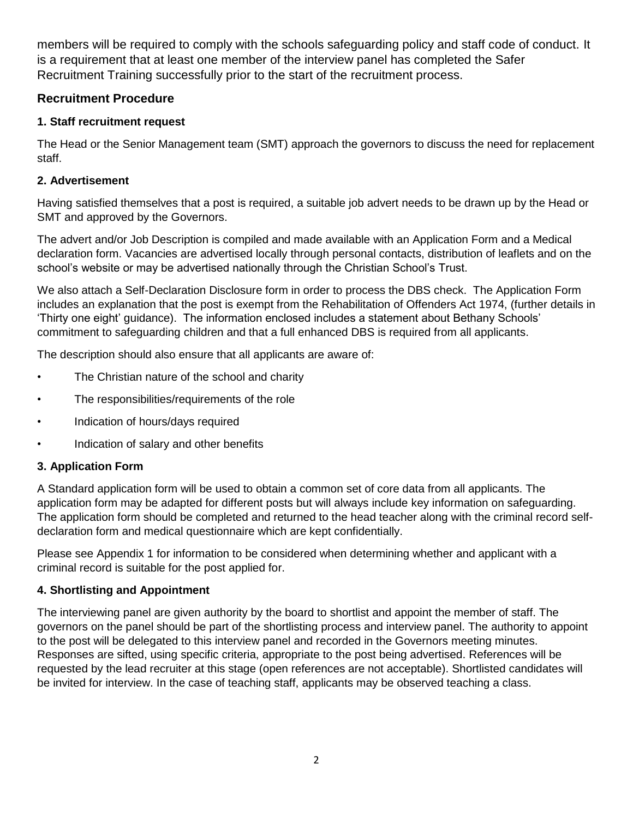members will be required to comply with the schools safeguarding policy and staff code of conduct. It is a requirement that at least one member of the interview panel has completed the Safer Recruitment Training successfully prior to the start of the recruitment process.

# **Recruitment Procedure**

# **1. Staff recruitment request**

The Head or the Senior Management team (SMT) approach the governors to discuss the need for replacement staff.

# **2. Advertisement**

Having satisfied themselves that a post is required, a suitable job advert needs to be drawn up by the Head or SMT and approved by the Governors.

The advert and/or Job Description is compiled and made available with an Application Form and a Medical declaration form. Vacancies are advertised locally through personal contacts, distribution of leaflets and on the school's website or may be advertised nationally through the Christian School's Trust.

We also attach a Self-Declaration Disclosure form in order to process the DBS check. The Application Form includes an explanation that the post is exempt from the Rehabilitation of Offenders Act 1974, (further details in 'Thirty one eight' guidance). The information enclosed includes a statement about Bethany Schools' commitment to safeguarding children and that a full enhanced DBS is required from all applicants.

The description should also ensure that all applicants are aware of:

- The Christian nature of the school and charity
- The responsibilities/requirements of the role
- Indication of hours/days required
- Indication of salary and other benefits

# **3. Application Form**

A Standard application form will be used to obtain a common set of core data from all applicants. The application form may be adapted for different posts but will always include key information on safeguarding. The application form should be completed and returned to the head teacher along with the criminal record selfdeclaration form and medical questionnaire which are kept confidentially.

Please see Appendix 1 for information to be considered when determining whether and applicant with a criminal record is suitable for the post applied for.

## **4. Shortlisting and Appointment**

The interviewing panel are given authority by the board to shortlist and appoint the member of staff. The governors on the panel should be part of the shortlisting process and interview panel. The authority to appoint to the post will be delegated to this interview panel and recorded in the Governors meeting minutes. Responses are sifted, using specific criteria, appropriate to the post being advertised. References will be requested by the lead recruiter at this stage (open references are not acceptable). Shortlisted candidates will be invited for interview. In the case of teaching staff, applicants may be observed teaching a class.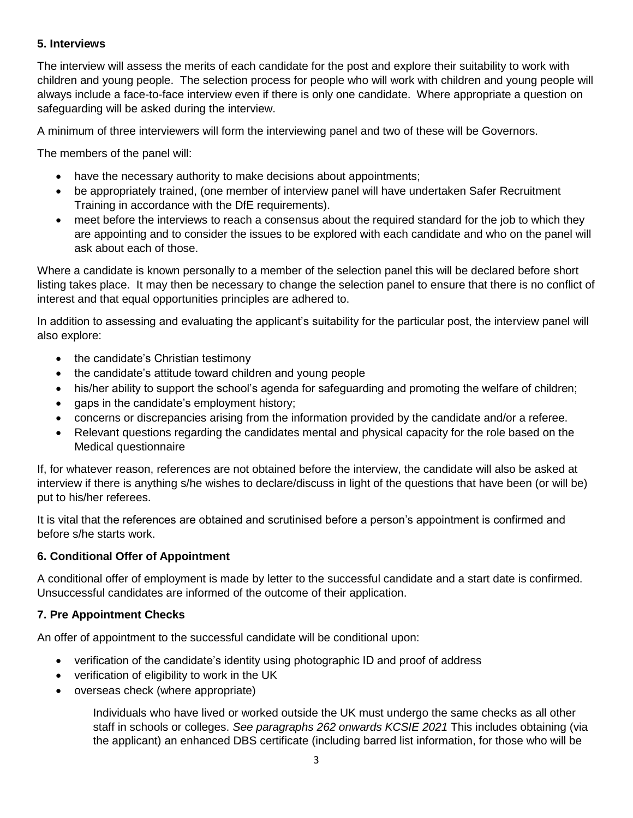## **5. Interviews**

The interview will assess the merits of each candidate for the post and explore their suitability to work with children and young people. The selection process for people who will work with children and young people will always include a face-to-face interview even if there is only one candidate. Where appropriate a question on safeguarding will be asked during the interview.

A minimum of three interviewers will form the interviewing panel and two of these will be Governors.

The members of the panel will:

- have the necessary authority to make decisions about appointments;
- be appropriately trained, (one member of interview panel will have undertaken Safer Recruitment Training in accordance with the DfE requirements).
- meet before the interviews to reach a consensus about the required standard for the job to which they are appointing and to consider the issues to be explored with each candidate and who on the panel will ask about each of those.

Where a candidate is known personally to a member of the selection panel this will be declared before short listing takes place. It may then be necessary to change the selection panel to ensure that there is no conflict of interest and that equal opportunities principles are adhered to.

In addition to assessing and evaluating the applicant's suitability for the particular post, the interview panel will also explore:

- the candidate's Christian testimony
- the candidate's attitude toward children and young people
- his/her ability to support the school's agenda for safeguarding and promoting the welfare of children;
- gaps in the candidate's employment history;
- concerns or discrepancies arising from the information provided by the candidate and/or a referee.
- Relevant questions regarding the candidates mental and physical capacity for the role based on the Medical questionnaire

If, for whatever reason, references are not obtained before the interview, the candidate will also be asked at interview if there is anything s/he wishes to declare/discuss in light of the questions that have been (or will be) put to his/her referees.

It is vital that the references are obtained and scrutinised before a person's appointment is confirmed and before s/he starts work.

### **6. Conditional Offer of Appointment**

A conditional offer of employment is made by letter to the successful candidate and a start date is confirmed. Unsuccessful candidates are informed of the outcome of their application.

### **7. Pre Appointment Checks**

An offer of appointment to the successful candidate will be conditional upon:

- verification of the candidate's identity using photographic ID and proof of address
- verification of eligibility to work in the UK
- overseas check (where appropriate)

Individuals who have lived or worked outside the UK must undergo the same checks as all other staff in schools or colleges. *See paragraphs 262 onwards KCSIE 2021* This includes obtaining (via the applicant) an enhanced DBS certificate (including barred list information, for those who will be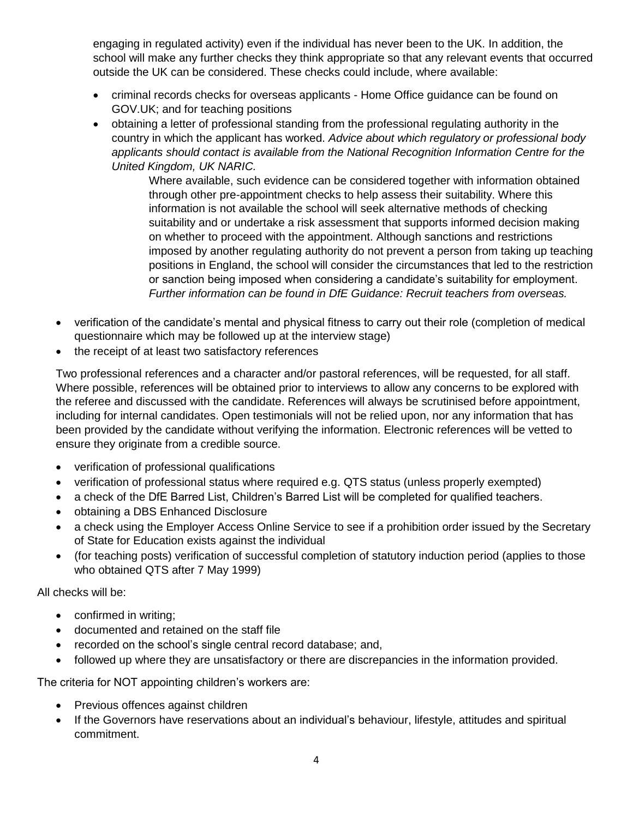engaging in regulated activity) even if the individual has never been to the UK. In addition, the school will make any further checks they think appropriate so that any relevant events that occurred outside the UK can be considered. These checks could include, where available:

- criminal records checks for overseas applicants Home Office guidance can be found on GOV.UK; and for teaching positions
- obtaining a letter of professional standing from the professional regulating authority in the country in which the applicant has worked. *Advice about which regulatory or professional body applicants should contact is available from the National Recognition Information Centre for the United Kingdom, UK NARIC.*

Where available, such evidence can be considered together with information obtained through other pre-appointment checks to help assess their suitability. Where this information is not available the school will seek alternative methods of checking suitability and or undertake a risk assessment that supports informed decision making on whether to proceed with the appointment. Although sanctions and restrictions imposed by another regulating authority do not prevent a person from taking up teaching positions in England, the school will consider the circumstances that led to the restriction or sanction being imposed when considering a candidate's suitability for employment. *Further information can be found in DfE Guidance: Recruit teachers from overseas.*

- verification of the candidate's mental and physical fitness to carry out their role (completion of medical questionnaire which may be followed up at the interview stage)
- the receipt of at least two satisfactory references

Two professional references and a character and/or pastoral references, will be requested, for all staff. Where possible, references will be obtained prior to interviews to allow any concerns to be explored with the referee and discussed with the candidate. References will always be scrutinised before appointment, including for internal candidates. Open testimonials will not be relied upon, nor any information that has been provided by the candidate without verifying the information. Electronic references will be vetted to ensure they originate from a credible source.

- verification of professional qualifications
- verification of professional status where required e.g. QTS status (unless properly exempted)
- a check of the DfE Barred List, Children's Barred List will be completed for qualified teachers.
- obtaining a DBS Enhanced Disclosure
- a check using the Employer Access Online Service to see if a prohibition order issued by the Secretary of State for Education exists against the individual
- (for teaching posts) verification of successful completion of statutory induction period (applies to those who obtained QTS after 7 May 1999)

All checks will be:

- confirmed in writing;
- documented and retained on the staff file
- recorded on the school's single central record database; and,
- followed up where they are unsatisfactory or there are discrepancies in the information provided.

The criteria for NOT appointing children's workers are:

- Previous offences against children
- If the Governors have reservations about an individual's behaviour, lifestyle, attitudes and spiritual commitment.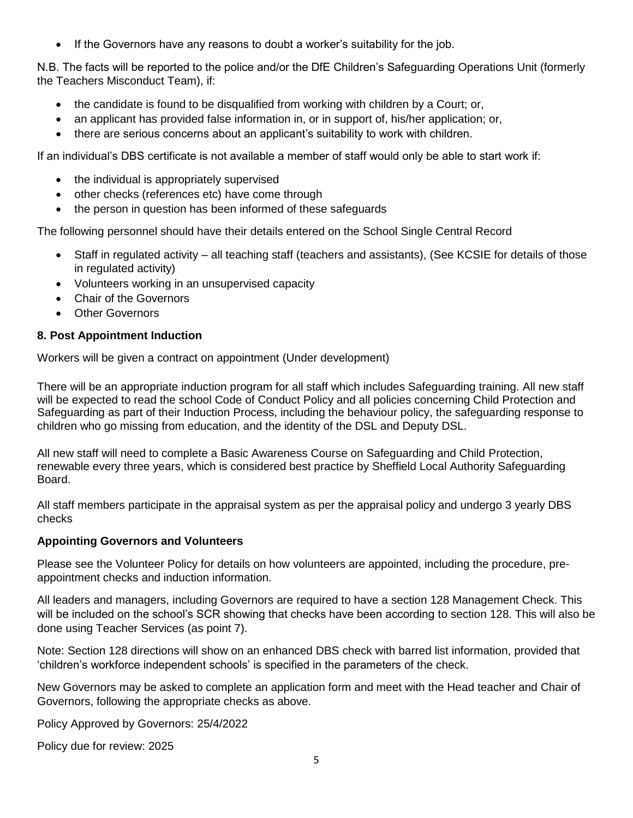If the Governors have any reasons to doubt a worker's suitability for the job.

N.B. The facts will be reported to the police and/or the DfE Children's Safeguarding Operations Unit (formerly the Teachers Misconduct Team), if:

- the candidate is found to be disqualified from working with children by a Court; or,
- an applicant has provided false information in, or in support of, his/her application; or,
- there are serious concerns about an applicant's suitability to work with children.

If an individual's DBS certificate is not available a member of staff would only be able to start work if:

- the individual is appropriately supervised
- other checks (references etc) have come through
- the person in question has been informed of these safeguards

The following personnel should have their details entered on the School Single Central Record

- Staff in regulated activity all teaching staff (teachers and assistants), (See KCSIE for details of those in regulated activity)
- Volunteers working in an unsupervised capacity
- Chair of the Governors
- Other Governors

### **8. Post Appointment Induction**

Workers will be given a contract on appointment (Under development)

There will be an appropriate induction program for all staff which includes Safeguarding training. All new staff will be expected to read the school Code of Conduct Policy and all policies concerning Child Protection and Safeguarding as part of their Induction Process, including the behaviour policy, the safeguarding response to children who go missing from education, and the identity of the DSL and Deputy DSL.

All new staff will need to complete a Basic Awareness Course on Safeguarding and Child Protection, renewable every three years, which is considered best practice by Sheffield Local Authority Safeguarding Board.

All staff members participate in the appraisal system as per the appraisal policy and undergo 3 yearly DBS checks

#### **Appointing Governors and Volunteers**

Please see the Volunteer Policy for details on how volunteers are appointed, including the procedure, preappointment checks and induction information.

All leaders and managers, including Governors are required to have a section 128 Management Check. This will be included on the school's SCR showing that checks have been according to section 128. This will also be done using Teacher Services (as point 7).

Note: Section 128 directions will show on an enhanced DBS check with barred list information, provided that 'children's workforce independent schools' is specified in the parameters of the check.

New Governors may be asked to complete an application form and meet with the Head teacher and Chair of Governors, following the appropriate checks as above.

Policy Approved by Governors: 25/4/2022

Policy due for review: 2025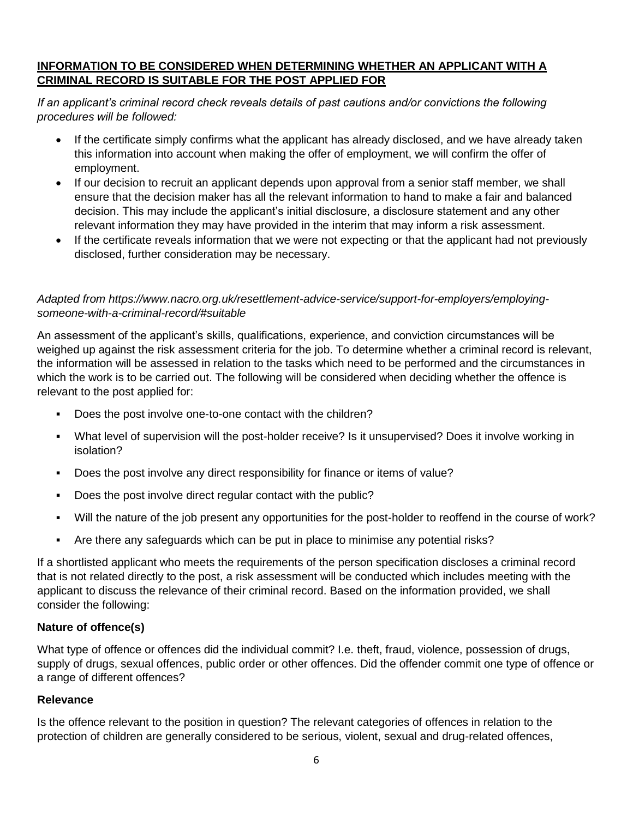## **INFORMATION TO BE CONSIDERED WHEN DETERMINING WHETHER AN APPLICANT WITH A CRIMINAL RECORD IS SUITABLE FOR THE POST APPLIED FOR**

*If an applicant's criminal record check reveals details of past cautions and/or convictions the following procedures will be followed:*

- If the certificate simply confirms what the applicant has already disclosed, and we have already taken this information into account when making the offer of employment, we will confirm the offer of employment.
- If our decision to recruit an applicant depends upon approval from a senior staff member, we shall ensure that the decision maker has all the relevant information to hand to make a fair and balanced decision. This may include the applicant's initial disclosure, a disclosure statement and any other relevant information they may have provided in the interim that may inform a risk assessment.
- If the certificate reveals information that we were not expecting or that the applicant had not previously disclosed, further consideration may be necessary.

## *Adapted from https://www.nacro.org.uk/resettlement-advice-service/support-for-employers/employingsomeone-with-a-criminal-record/#suitable*

An assessment of the applicant's skills, qualifications, experience, and conviction circumstances will be weighed up against the risk assessment criteria for the job. To determine whether a criminal record is relevant, the information will be assessed in relation to the tasks which need to be performed and the circumstances in which the work is to be carried out. The following will be considered when deciding whether the offence is relevant to the post applied for:

- Does the post involve one-to-one contact with the children?
- What level of supervision will the post-holder receive? Is it unsupervised? Does it involve working in isolation?
- Does the post involve any direct responsibility for finance or items of value?
- Does the post involve direct regular contact with the public?
- Will the nature of the job present any opportunities for the post-holder to reoffend in the course of work?
- Are there any safeguards which can be put in place to minimise any potential risks?

If a shortlisted applicant who meets the requirements of the person specification discloses a criminal record that is not related directly to the post, a risk assessment will be conducted which includes meeting with the applicant to discuss the relevance of their criminal record. Based on the information provided, we shall consider the following:

### **Nature of offence(s)**

What type of offence or offences did the individual commit? I.e. theft, fraud, violence, possession of drugs, supply of drugs, sexual offences, public order or other offences. Did the offender commit one type of offence or a range of different offences?

### **Relevance**

Is the offence relevant to the position in question? The relevant categories of offences in relation to the protection of children are generally considered to be serious, violent, sexual and drug-related offences,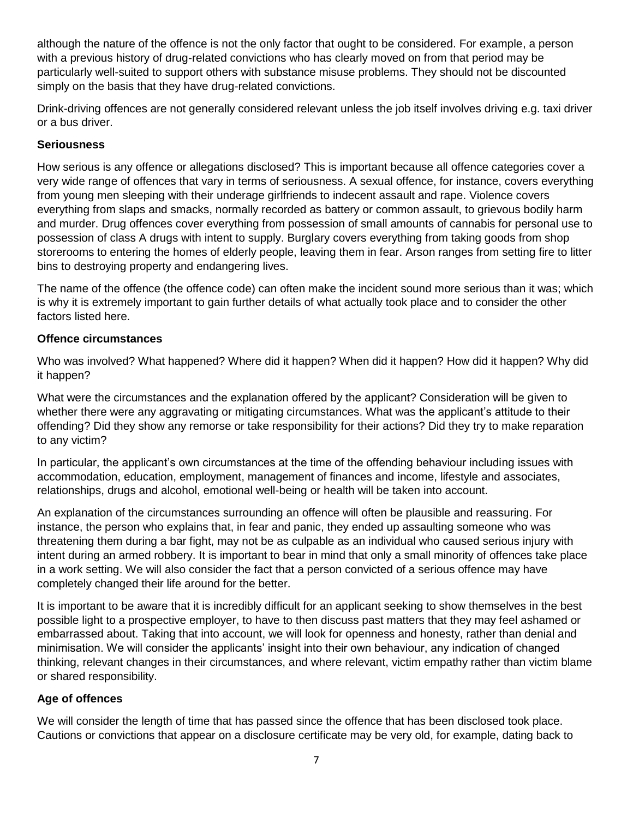although the nature of the offence is not the only factor that ought to be considered. For example, a person with a previous history of drug-related convictions who has clearly moved on from that period may be particularly well-suited to support others with substance misuse problems. They should not be discounted simply on the basis that they have drug-related convictions.

Drink-driving offences are not generally considered relevant unless the job itself involves driving e.g. taxi driver or a bus driver.

## **Seriousness**

How serious is any offence or allegations disclosed? This is important because all offence categories cover a very wide range of offences that vary in terms of seriousness. A sexual offence, for instance, covers everything from young men sleeping with their underage girlfriends to indecent assault and rape. Violence covers everything from slaps and smacks, normally recorded as battery or common assault, to grievous bodily harm and murder. Drug offences cover everything from possession of small amounts of cannabis for personal use to possession of class A drugs with intent to supply. Burglary covers everything from taking goods from shop storerooms to entering the homes of elderly people, leaving them in fear. Arson ranges from setting fire to litter bins to destroying property and endangering lives.

The name of the offence (the offence code) can often make the incident sound more serious than it was; which is why it is extremely important to gain further details of what actually took place and to consider the other factors listed here.

## **Offence circumstances**

Who was involved? What happened? Where did it happen? When did it happen? How did it happen? Why did it happen?

What were the circumstances and the explanation offered by the applicant? Consideration will be given to whether there were any aggravating or mitigating circumstances. What was the applicant's attitude to their offending? Did they show any remorse or take responsibility for their actions? Did they try to make reparation to any victim?

In particular, the applicant's own circumstances at the time of the offending behaviour including issues with accommodation, education, employment, management of finances and income, lifestyle and associates, relationships, drugs and alcohol, emotional well-being or health will be taken into account.

An explanation of the circumstances surrounding an offence will often be plausible and reassuring. For instance, the person who explains that, in fear and panic, they ended up assaulting someone who was threatening them during a bar fight, may not be as culpable as an individual who caused serious injury with intent during an armed robbery. It is important to bear in mind that only a small minority of offences take place in a work setting. We will also consider the fact that a person convicted of a serious offence may have completely changed their life around for the better.

It is important to be aware that it is incredibly difficult for an applicant seeking to show themselves in the best possible light to a prospective employer, to have to then discuss past matters that they may feel ashamed or embarrassed about. Taking that into account, we will look for openness and honesty, rather than denial and minimisation. We will consider the applicants' insight into their own behaviour, any indication of changed thinking, relevant changes in their circumstances, and where relevant, victim empathy rather than victim blame or shared responsibility.

## **Age of offences**

We will consider the length of time that has passed since the offence that has been disclosed took place. Cautions or convictions that appear on a disclosure certificate may be very old, for example, dating back to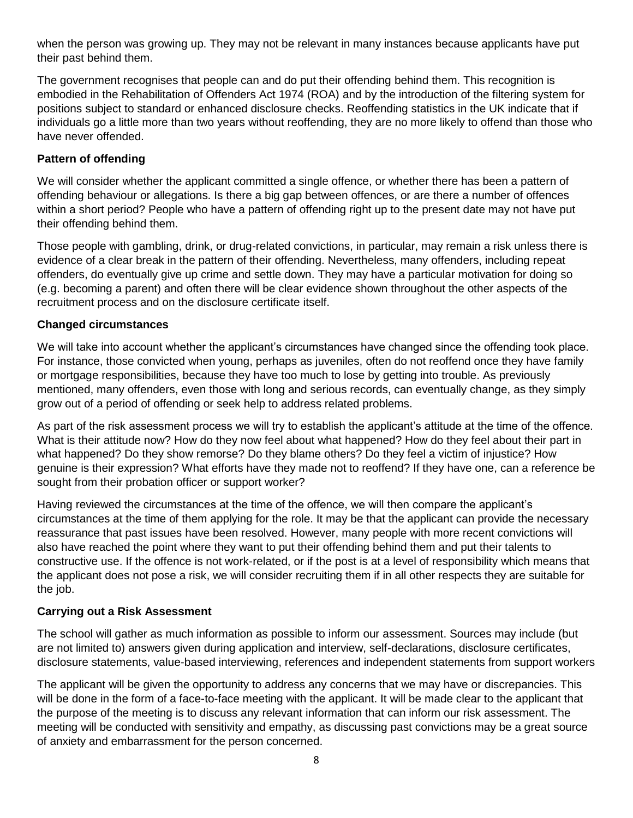when the person was growing up. They may not be relevant in many instances because applicants have put their past behind them.

The government recognises that people can and do put their offending behind them. This recognition is embodied in the Rehabilitation of Offenders Act 1974 (ROA) and by the introduction of the filtering system for positions subject to standard or enhanced disclosure checks. Reoffending statistics in the UK indicate that if individuals go a little more than two years without reoffending, they are no more likely to offend than those who have never offended.

## **Pattern of offending**

We will consider whether the applicant committed a single offence, or whether there has been a pattern of offending behaviour or allegations. Is there a big gap between offences, or are there a number of offences within a short period? People who have a pattern of offending right up to the present date may not have put their offending behind them.

Those people with gambling, drink, or drug-related convictions, in particular, may remain a risk unless there is evidence of a clear break in the pattern of their offending. Nevertheless, many offenders, including repeat offenders, do eventually give up crime and settle down. They may have a particular motivation for doing so (e.g. becoming a parent) and often there will be clear evidence shown throughout the other aspects of the recruitment process and on the disclosure certificate itself.

### **Changed circumstances**

We will take into account whether the applicant's circumstances have changed since the offending took place. For instance, those convicted when young, perhaps as juveniles, often do not reoffend once they have family or mortgage responsibilities, because they have too much to lose by getting into trouble. As previously mentioned, many offenders, even those with long and serious records, can eventually change, as they simply grow out of a period of offending or seek help to address related problems.

As part of the risk assessment process we will try to establish the applicant's attitude at the time of the offence. What is their attitude now? How do they now feel about what happened? How do they feel about their part in what happened? Do they show remorse? Do they blame others? Do they feel a victim of injustice? How genuine is their expression? What efforts have they made not to reoffend? If they have one, can a reference be sought from their probation officer or support worker?

Having reviewed the circumstances at the time of the offence, we will then compare the applicant's circumstances at the time of them applying for the role. It may be that the applicant can provide the necessary reassurance that past issues have been resolved. However, many people with more recent convictions will also have reached the point where they want to put their offending behind them and put their talents to constructive use. If the offence is not work-related, or if the post is at a level of responsibility which means that the applicant does not pose a risk, we will consider recruiting them if in all other respects they are suitable for the job.

## **Carrying out a Risk Assessment**

The school will gather as much information as possible to inform our assessment. Sources may include (but are not limited to) answers given during application and interview, self-declarations, disclosure certificates, disclosure statements, value-based interviewing, references and independent statements from support workers

The applicant will be given the opportunity to address any concerns that we may have or discrepancies. This will be done in the form of a face-to-face meeting with the applicant. It will be made clear to the applicant that the purpose of the meeting is to discuss any relevant information that can inform our risk assessment. The meeting will be conducted with sensitivity and empathy, as discussing past convictions may be a great source of anxiety and embarrassment for the person concerned.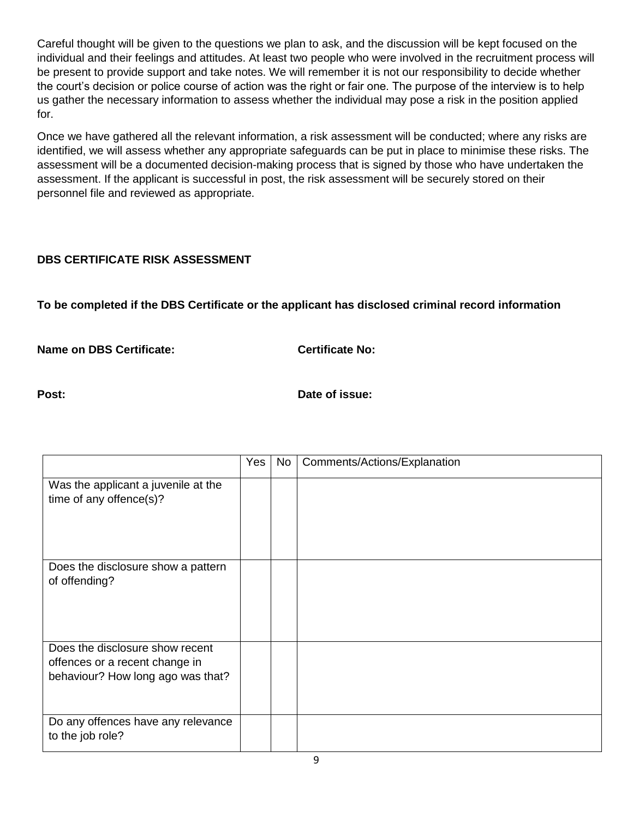Careful thought will be given to the questions we plan to ask, and the discussion will be kept focused on the individual and their feelings and attitudes. At least two people who were involved in the recruitment process will be present to provide support and take notes. We will remember it is not our responsibility to decide whether the court's decision or police course of action was the right or fair one. The purpose of the interview is to help us gather the necessary information to assess whether the individual may pose a risk in the position applied for.

Once we have gathered all the relevant information, a risk assessment will be conducted; where any risks are identified, we will assess whether any appropriate safeguards can be put in place to minimise these risks. The assessment will be a documented decision-making process that is signed by those who have undertaken the assessment. If the applicant is successful in post, the risk assessment will be securely stored on their personnel file and reviewed as appropriate.

# **DBS CERTIFICATE RISK ASSESSMENT**

**To be completed if the DBS Certificate or the applicant has disclosed criminal record information**

**Name on DBS Certificate: Certificate No: Certificate No:** 

**Post: Date of issue: Date of issue:** 

|                                                                                                        | Yes | No | Comments/Actions/Explanation |
|--------------------------------------------------------------------------------------------------------|-----|----|------------------------------|
| Was the applicant a juvenile at the<br>time of any offence(s)?                                         |     |    |                              |
| Does the disclosure show a pattern<br>of offending?                                                    |     |    |                              |
| Does the disclosure show recent<br>offences or a recent change in<br>behaviour? How long ago was that? |     |    |                              |
| Do any offences have any relevance<br>to the job role?                                                 |     |    |                              |